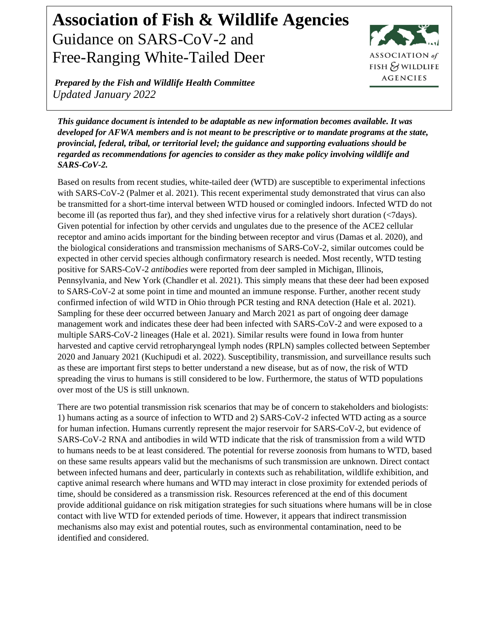## **Association of Fish & Wildlife Agencies** Guidance on SARS-CoV-2 and Free-Ranging White-Tailed Deer



*Prepared by the Fish and Wildlife Health Committee Updated January 2022*

*This guidance document is intended to be adaptable as new information becomes available. It was developed for AFWA members and is not meant to be prescriptive or to mandate programs at the state, provincial, federal, tribal, or territorial level; the guidance and supporting evaluations should be regarded as recommendations for agencies to consider as they make policy involving wildlife and SARS-CoV-2.*

Based on results from recent studies, white-tailed deer (WTD) are susceptible to experimental infections with SARS-CoV-2 (Palmer et al. 2021). This recent experimental study demonstrated that virus can also be transmitted for a short-time interval between WTD housed or comingled indoors. Infected WTD do not become ill (as reported thus far), and they shed infective virus for a relatively short duration (<7days). Given potential for infection by other cervids and ungulates due to the presence of the ACE2 cellular receptor and amino acids important for the binding between receptor and virus (Damas et al. 2020), and the biological considerations and transmission mechanisms of SARS-CoV-2, similar outcomes could be expected in other cervid species although confirmatory research is needed. Most recently, WTD testing positive for SARS-CoV-2 *antibodies* were reported from deer sampled in Michigan, Illinois, Pennsylvania, and New York (Chandler et al. 2021). This simply means that these deer had been exposed to SARS-CoV-2 at some point in time and mounted an immune response. Further, another recent study confirmed infection of wild WTD in Ohio through PCR testing and RNA detection (Hale et al. 2021). Sampling for these deer occurred between January and March 2021 as part of ongoing deer damage management work and indicates these deer had been infected with SARS-CoV-2 and were exposed to a multiple SARS-CoV-2 lineages (Hale et al. 2021). Similar results were found in Iowa from hunter harvested and captive cervid retropharyngeal lymph nodes (RPLN) samples collected between September 2020 and January 2021 (Kuchipudi et al. 2022). Susceptibility, transmission, and surveillance results such as these are important first steps to better understand a new disease, but as of now, the risk of WTD spreading the virus to humans is still considered to be low. Furthermore, the status of WTD populations over most of the US is still unknown.

There are two potential transmission risk scenarios that may be of concern to stakeholders and biologists: 1) humans acting as a source of infection to WTD and 2) SARS-CoV-2 infected WTD acting as a source for human infection. Humans currently represent the major reservoir for SARS-CoV-2, but evidence of SARS-CoV-2 RNA and antibodies in wild WTD indicate that the risk of transmission from a wild WTD to humans needs to be at least considered. The potential for reverse zoonosis from humans to WTD, based on these same results appears valid but the mechanisms of such transmission are unknown. Direct contact between infected humans and deer, particularly in contexts such as rehabilitation, wildlife exhibition, and captive animal research where humans and WTD may interact in close proximity for extended periods of time, should be considered as a transmission risk. Resources referenced at the end of this document provide additional guidance on risk mitigation strategies for such situations where humans will be in close contact with live WTD for extended periods of time. However, it appears that indirect transmission mechanisms also may exist and potential routes, such as environmental contamination, need to be identified and considered.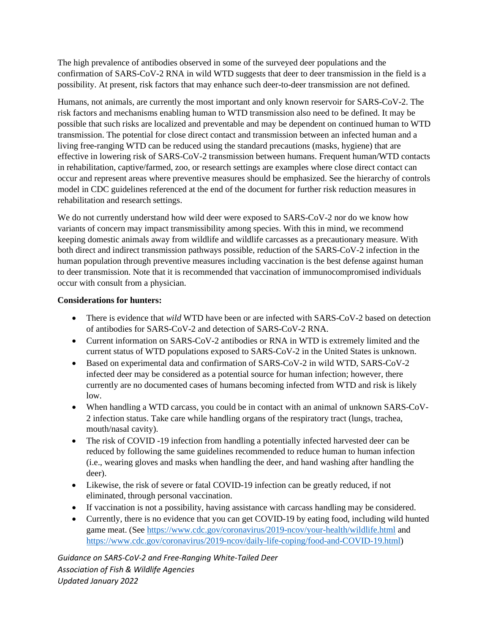The high prevalence of antibodies observed in some of the surveyed deer populations and the confirmation of SARS-CoV-2 RNA in wild WTD suggests that deer to deer transmission in the field is a possibility. At present, risk factors that may enhance such deer-to-deer transmission are not defined.

Humans, not animals, are currently the most important and only known reservoir for SARS-CoV-2. The risk factors and mechanisms enabling human to WTD transmission also need to be defined. It may be possible that such risks are localized and preventable and may be dependent on continued human to WTD transmission. The potential for close direct contact and transmission between an infected human and a living free-ranging WTD can be reduced using the standard precautions (masks, hygiene) that are effective in lowering risk of SARS-CoV-2 transmission between humans. Frequent human/WTD contacts in rehabilitation, captive/farmed, zoo, or research settings are examples where close direct contact can occur and represent areas where preventive measures should be emphasized. See the hierarchy of controls model in CDC guidelines referenced at the end of the document for further risk reduction measures in rehabilitation and research settings.

We do not currently understand how wild deer were exposed to SARS-CoV-2 nor do we know how variants of concern may impact transmissibility among species. With this in mind, we recommend keeping domestic animals away from wildlife and wildlife carcasses as a precautionary measure. With both direct and indirect transmission pathways possible, reduction of the SARS-CoV-2 infection in the human population through preventive measures including vaccination is the best defense against human to deer transmission. Note that it is recommended that vaccination of immunocompromised individuals occur with consult from a physician.

## **Considerations for hunters:**

- There is evidence that *wild* WTD have been or are infected with SARS-CoV-2 based on detection of antibodies for SARS-CoV-2 and detection of SARS-CoV-2 RNA.
- Current information on SARS-CoV-2 antibodies or RNA in WTD is extremely limited and the current status of WTD populations exposed to SARS-CoV-2 in the United States is unknown.
- Based on experimental data and confirmation of SARS-CoV-2 in wild WTD, SARS-CoV-2 infected deer may be considered as a potential source for human infection; however, there currently are no documented cases of humans becoming infected from WTD and risk is likely low.
- When handling a WTD carcass, you could be in contact with an animal of unknown SARS-CoV-2 infection status. Take care while handling organs of the respiratory tract (lungs, trachea, mouth/nasal cavity).
- The risk of COVID -19 infection from handling a potentially infected harvested deer can be reduced by following the same guidelines recommended to reduce human to human infection (i.e., wearing gloves and masks when handling the deer, and hand washing after handling the deer).
- Likewise, the risk of severe or fatal COVID-19 infection can be greatly reduced, if not eliminated, through personal vaccination.
- If vaccination is not a possibility, having assistance with carcass handling may be considered.
- Currently, there is no evidence that you can get COVID-19 by eating food, including wild hunted game meat. (See<https://www.cdc.gov/coronavirus/2019-ncov/your-health/wildlife.html> and [https://www.cdc.gov/coronavirus/2019-ncov/daily-life-coping/food-and-COVID-19.html\)](https://www.cdc.gov/coronavirus/2019-ncov/daily-life-coping/food-and-COVID-19.html)

*Guidance on SARS-CoV-2 and Free-Ranging White-Tailed Deer Association of Fish & Wildlife Agencies Updated January 2022*